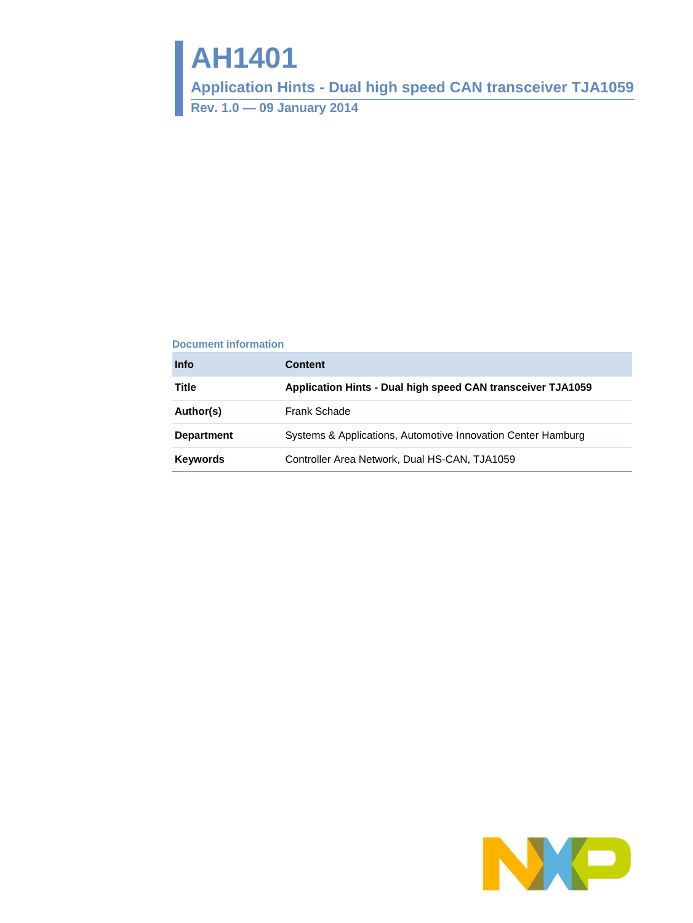# **AH1401**

**Application Hints - Dual high speed CAN transceiver TJA1059**

**Rev. 1.0 — 09 January 2014**

#### **Document information**

| <b>Info</b>       | <b>Content</b>                                               |
|-------------------|--------------------------------------------------------------|
| Title             | Application Hints - Dual high speed CAN transceiver TJA1059  |
| Author(s)         | Frank Schade                                                 |
| <b>Department</b> | Systems & Applications, Automotive Innovation Center Hamburg |
| <b>Keywords</b>   | Controller Area Network, Dual HS-CAN, TJA1059                |
|                   |                                                              |

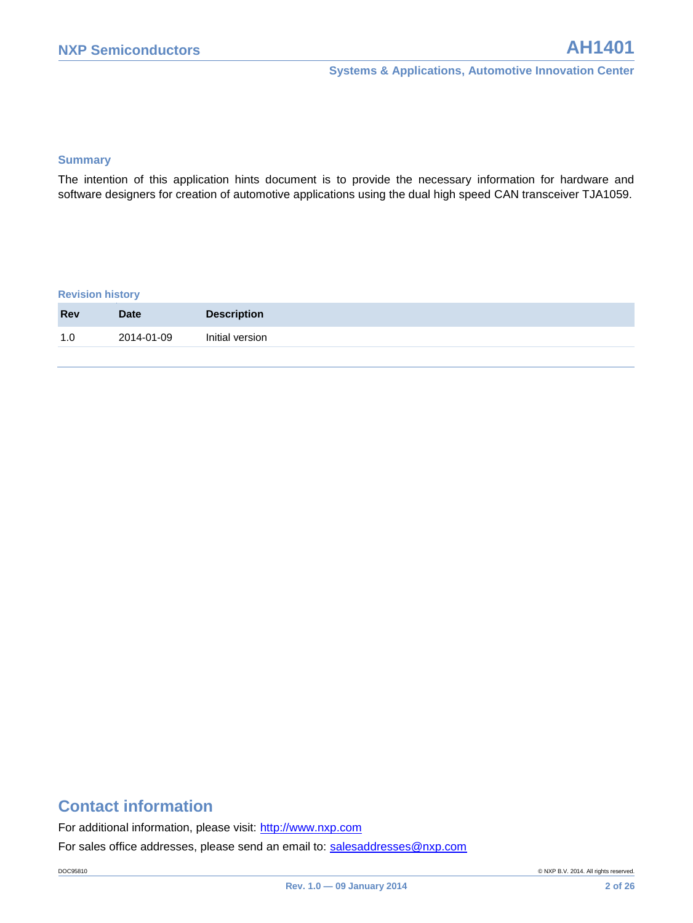#### **Summary**

The intention of this application hints document is to provide the necessary information for hardware and software designers for creation of automotive applications using the dual high speed CAN transceiver TJA1059.

#### **Revision history**

| 2014-01-09<br>1.0 |                 |
|-------------------|-----------------|
|                   | Initial version |

### **Contact information**

For additional information, please visit: http://www.nxp.com

For sales office addresses, please send an email to: salesaddresses@nxp.com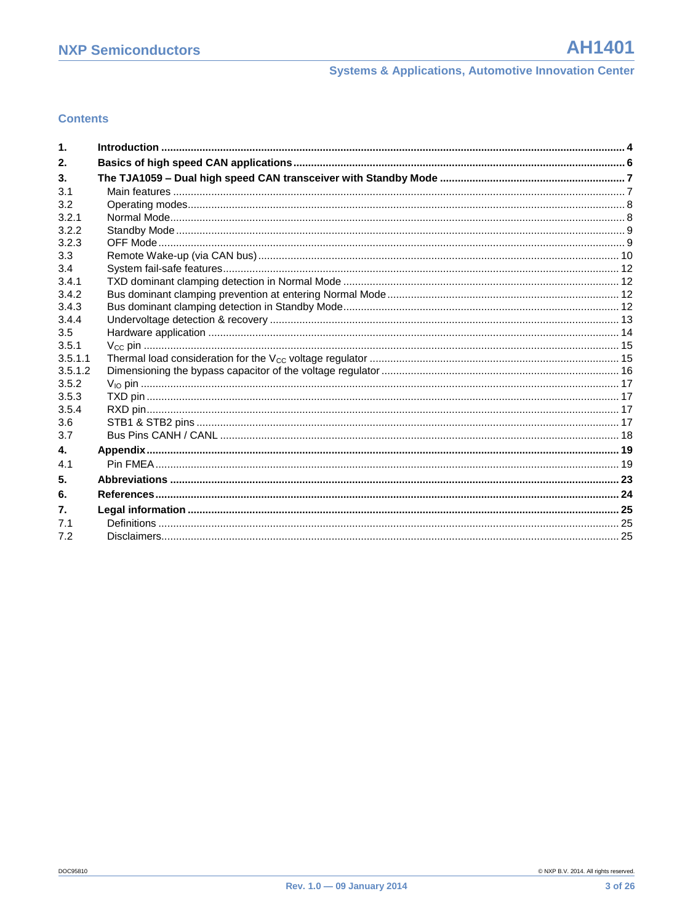#### **Contents**

| $\mathbf 1$  |  |
|--------------|--|
| 2.           |  |
| 3.           |  |
| 3.1          |  |
| 3.2          |  |
| 3.2.1        |  |
| 3.2.2        |  |
| 3.2.3        |  |
| 3.3          |  |
| 3.4          |  |
| 3.4.1        |  |
| 3.4.2        |  |
| 3.4.3        |  |
| 3.4.4        |  |
| 3.5<br>3.5.1 |  |
| 3.5.1.1      |  |
| 3.5.1.2      |  |
| 3.5.2        |  |
| 3.5.3        |  |
| 3.5.4        |  |
| 3.6          |  |
| 3.7          |  |
| 4.           |  |
| 4.1          |  |
| 5.           |  |
| 6.           |  |
| 7.           |  |
| 7.1          |  |
| 7.2          |  |
|              |  |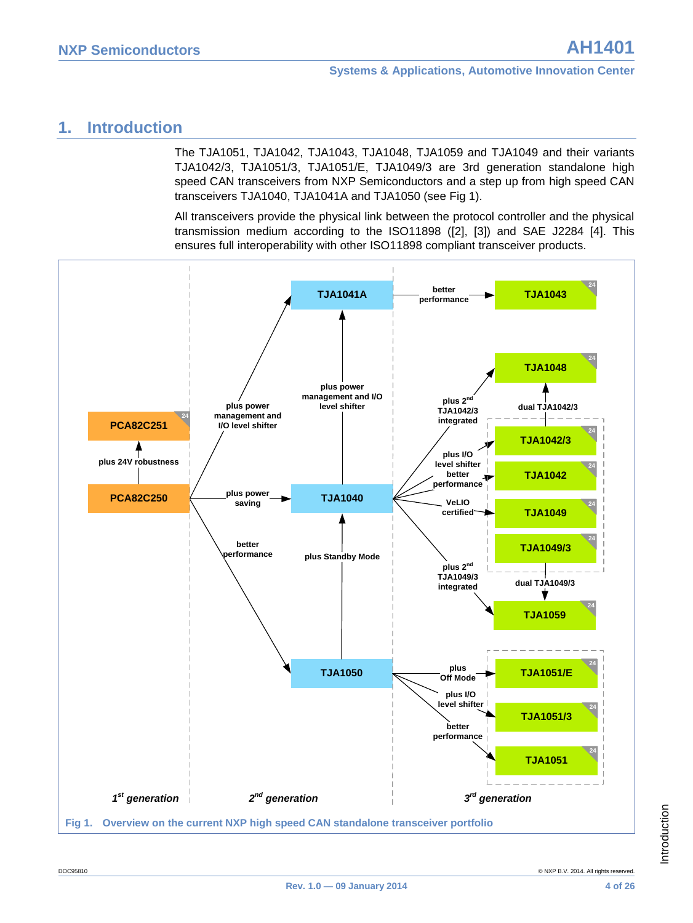### <span id="page-3-0"></span>**1. Introduction**

The TJA1051, TJA1042, TJA1043, TJA1048, TJA1059 and TJA1049 and their variants TJA1042/3, TJA1051/3, TJA1051/E, TJA1049/3 are 3rd generation standalone high speed CAN transceivers from NXP Semiconductors and a step up from high speed CAN transceivers TJA1040, TJA1041A and TJA1050 (see [Fig 1\)](#page-3-1).

All transceivers provide the physical link between the protocol controller and the physical transmission medium according to the ISO11898 [\(\[2\],](#page-23-1) [\[3\]\)](#page-23-2) and SAE J2284 [\[4\].](#page-23-3) This ensures full interoperability with other ISO11898 compliant transceiver products.

<span id="page-3-1"></span>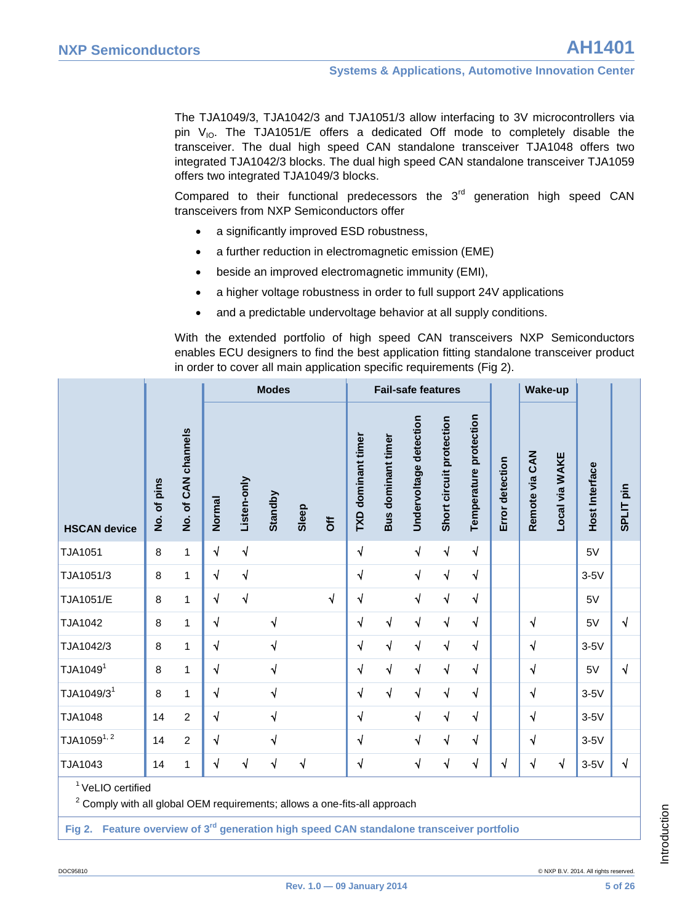The TJA1049/3, TJA1042/3 and TJA1051/3 allow interfacing to 3V microcontrollers via pin  $V_{10}$ . The TJA1051/E offers a dedicated Off mode to completely disable the transceiver. The dual high speed CAN standalone transceiver TJA1048 offers two integrated TJA1042/3 blocks. The dual high speed CAN standalone transceiver TJA1059 offers two integrated TJA1049/3 blocks.

Compared to their functional predecessors the  $3<sup>rd</sup>$  generation high speed CAN transceivers from NXP Semiconductors offer

- a significantly improved ESD robustness,
- a further reduction in electromagnetic emission (EME)
- beside an improved electromagnetic immunity (EMI),
- a higher voltage robustness in order to full support 24V applications
- and a predictable undervoltage behavior at all supply conditions.

With the extended portfolio of high speed CAN transceivers NXP Semiconductors enables ECU designers to find the best application fitting standalone transceiver product in order to cover all main application specific requirements [\(Fig 2\)](#page-4-0).

|                              |             |                     |            |             | <b>Modes</b> |       |                     |                    | <b>Fail-safe features</b> |                        |                          |                        |                 |                | <b>Wake-up</b> |                       |                      |
|------------------------------|-------------|---------------------|------------|-------------|--------------|-------|---------------------|--------------------|---------------------------|------------------------|--------------------------|------------------------|-----------------|----------------|----------------|-----------------------|----------------------|
| <b>HSCAN device</b>          | No. of pins | No. of CAN channels | Normal     | Listen-only | Standby      | Sleep | $\overline{\delta}$ | TXD dominant timer | Bus dominant timer        | Undervoltage detection | Short circuit protection | Temperature protection | Error detection | Remote via CAN | Local via WAKE | <b>Host Interface</b> | SPLIT <sub>pin</sub> |
| TJA1051                      | $\,8\,$     | $\mathbf{1}$        | $\sqrt{}$  | $\sqrt{}$   |              |       |                     | $\sqrt{}$          |                           | $\sqrt{ }$             | $\sqrt{ }$               | $\sqrt{ }$             |                 |                |                | 5V                    |                      |
| TJA1051/3                    | 8           | 1                   | $\sqrt{ }$ | $\sqrt{}$   |              |       |                     | $\sqrt{2}$         |                           | $\sqrt{ }$             | $\sqrt{ }$               | $\sqrt{ }$             |                 |                |                | $3-5V$                |                      |
| <b>TJA1051/E</b>             | 8           | 1                   | $\sqrt{}$  | $\sqrt{2}$  |              |       | $\sqrt{ }$          | $\sqrt{2}$         |                           | $\sqrt{ }$             | $\sqrt{}$                | $\sqrt{ }$             |                 |                |                | 5V                    |                      |
| TJA1042                      | 8           | $\overline{1}$      | $\sqrt{2}$ |             | $\sqrt{}$    |       |                     | $\sqrt{ }$         | $\sqrt{}$                 | $\sqrt{ }$             | $\sqrt{}$                | $\sqrt{}$              |                 | $\sqrt{}$      |                | 5V                    | $\sqrt{}$            |
| TJA1042/3                    | 8           | 1                   | $\sqrt{}$  |             | $\sqrt{2}$   |       |                     | $\sqrt{ }$         | $\sqrt{ }$                | $\sqrt{ }$             | $\sqrt{ }$               | $\sqrt{ }$             |                 | $\sqrt{}$      |                | $3-5V$                |                      |
| TJA1049 <sup>1</sup>         | 8           | 1                   | $\sqrt{}$  |             | $\sqrt{}$    |       |                     | $\sqrt{ }$         | $\sqrt{2}$                | $\sqrt{}$              | $\sqrt{ }$               | $\sqrt{ }$             |                 | $\sqrt{ }$     |                | 5V                    | $\sqrt{}$            |
| TJA1049/3 <sup>1</sup>       | 8           | 1                   | $\sqrt{}$  |             | $\sqrt{2}$   |       |                     | $\sqrt{}$          | $\sqrt{ }$                | $\sqrt{}$              | $\sqrt{}$                | $\sqrt{ }$             |                 | $\sqrt{ }$     |                | $3-5V$                |                      |
| <b>TJA1048</b>               | 14          | $\overline{2}$      | $\sqrt{}$  |             | $\sqrt{2}$   |       |                     | $\sqrt{ }$         |                           | $\sqrt{ }$             | $\sqrt{}$                | $\sqrt{ }$             |                 | $\sqrt{ }$     |                | $3-5V$                |                      |
| $TJA1059^{1,2}$              | 14          | $\overline{c}$      | $\sqrt{ }$ |             | $\sqrt{2}$   |       |                     | $\sqrt{ }$         |                           | $\sqrt{}$              | $\sqrt{}$                | $\sqrt{ }$             |                 | $\sqrt{}$      |                | $3-5V$                |                      |
| TJA1043                      | 14          | 1                   | $\sqrt{}$  | $\sqrt{ }$  | $\sqrt{}$    | √     |                     | $\sqrt{ }$         |                           | $\sqrt{}$              | $\sqrt{}$                | $\sqrt{}$              | √               | $\sqrt{}$      | $\sqrt{}$      | $3-5V$                | $\sqrt{}$            |
| <sup>1</sup> VeLIO certified |             |                     |            |             |              |       |                     |                    |                           |                        |                          |                        |                 |                |                |                       |                      |

 $2$  Comply with all global OEM requirements; allows a one-fits-all approach

<span id="page-4-0"></span>**Fig 2. Feature overview of 3rd generation high speed CAN standalone transceiver portfolio**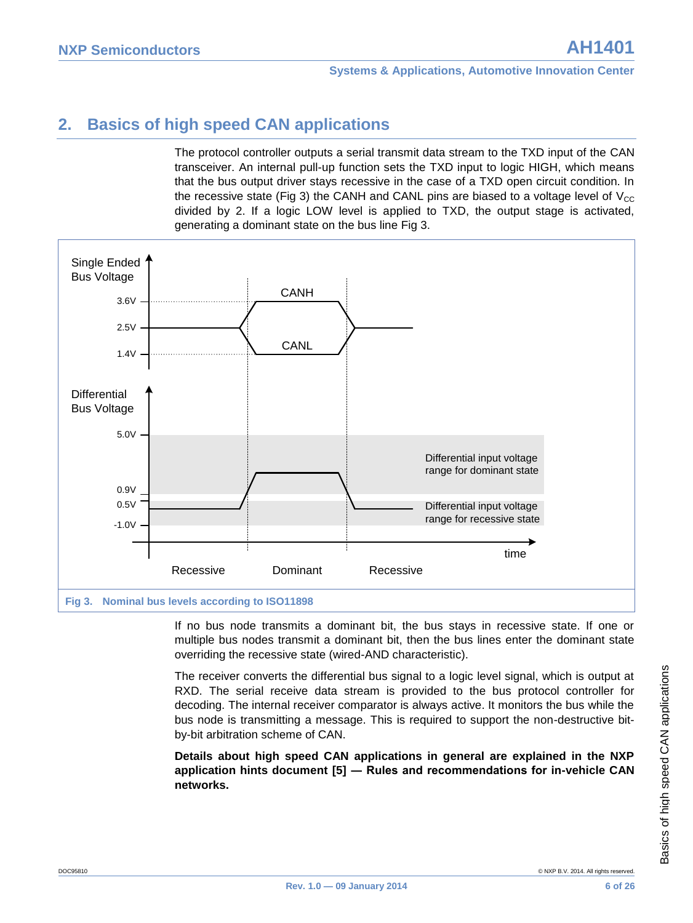### <span id="page-5-0"></span>**2. Basics of high speed CAN applications**

The protocol controller outputs a serial transmit data stream to the TXD input of the CAN transceiver. An internal pull-up function sets the TXD input to logic HIGH, which means that the bus output driver stays recessive in the case of a TXD open circuit condition. In the recessive state [\(Fig 3\)](#page-5-1) the CANH and CANL pins are biased to a voltage level of  $V_{CC}$ divided by 2. If a logic LOW level is applied to TXD, the output stage is activated, generating a dominant state on the bus line [Fig 3.](#page-5-1)



<span id="page-5-1"></span>If no bus node transmits a dominant bit, the bus stays in recessive state. If one or multiple bus nodes transmit a dominant bit, then the bus lines enter the dominant state overriding the recessive state (wired-AND characteristic).

The receiver converts the differential bus signal to a logic level signal, which is output at RXD. The serial receive data stream is provided to the bus protocol controller for decoding. The internal receiver comparator is always active. It monitors the bus while the bus node is transmitting a message. This is required to support the non-destructive bitby-bit arbitration scheme of CAN.

**Details about high speed CAN applications in general are explained in the NXP application hints document [\[5\]](#page-23-4) ― Rules and recommendations for in-vehicle CAN networks.**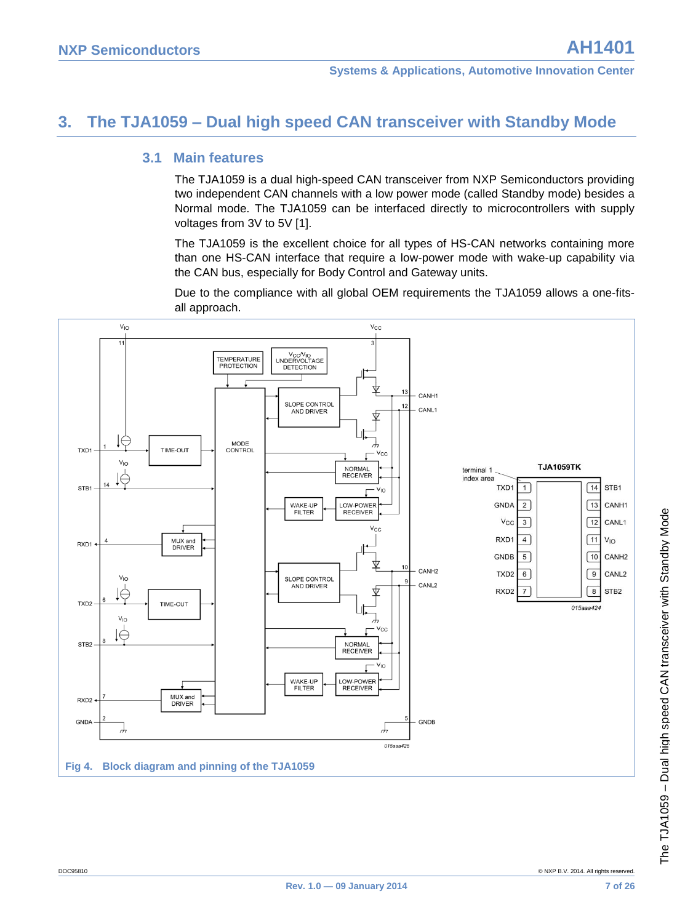### <span id="page-6-0"></span>**3. The TJA1059 – Dual high speed CAN transceiver with Standby Mode**

#### <span id="page-6-1"></span>**3.1 Main features**

The TJA1059 is a dual high-speed CAN transceiver from NXP Semiconductors providing two independent CAN channels with a low power mode (called Standby mode) besides a Normal mode. The TJA1059 can be interfaced directly to microcontrollers with supply voltages from 3V to 5V [\[1\].](#page-23-5)

The TJA1059 is the excellent choice for all types of HS-CAN networks containing more than one HS-CAN interface that require a low-power mode with wake-up capability via the CAN bus, especially for Body Control and Gateway units.

Due to the compliance with all global OEM requirements the TJA1059 allows a one-fitsall approach.

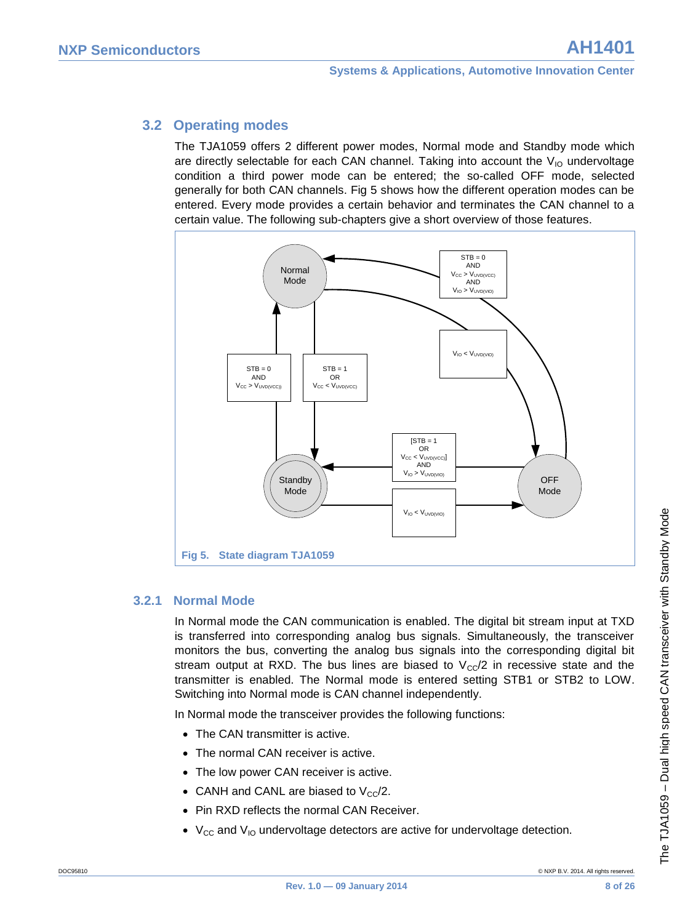### <span id="page-7-0"></span>**3.2 Operating modes**

The TJA1059 offers 2 different power modes, Normal mode and Standby mode which are directly selectable for each CAN channel. Taking into account the  $V_{10}$  undervoltage condition a third power mode can be entered; the so-called OFF mode, selected generally for both CAN channels. [Fig 5](#page-7-2) shows how the different operation modes can be entered. Every mode provides a certain behavior and terminates the CAN channel to a certain value. The following sub-chapters give a short overview of those features.



#### <span id="page-7-2"></span>**3.2.1 Normal Mode**

<span id="page-7-1"></span>In Normal mode the CAN communication is enabled. The digital bit stream input at TXD is transferred into corresponding analog bus signals. Simultaneously, the transceiver monitors the bus, converting the analog bus signals into the corresponding digital bit stream output at RXD. The bus lines are biased to  $V_{\rm cc}/2$  in recessive state and the transmitter is enabled. The Normal mode is entered setting STB1 or STB2 to LOW. Switching into Normal mode is CAN channel independently.

In Normal mode the transceiver provides the following functions:

- The CAN transmitter is active.
- The normal CAN receiver is active.
- The low power CAN receiver is active.
- CANH and CANL are biased to  $V_{cc}/2$ .
- Pin RXD reflects the normal CAN Receiver.
- $V_{CC}$  and  $V_{IO}$  undervoltage detectors are active for undervoltage detection.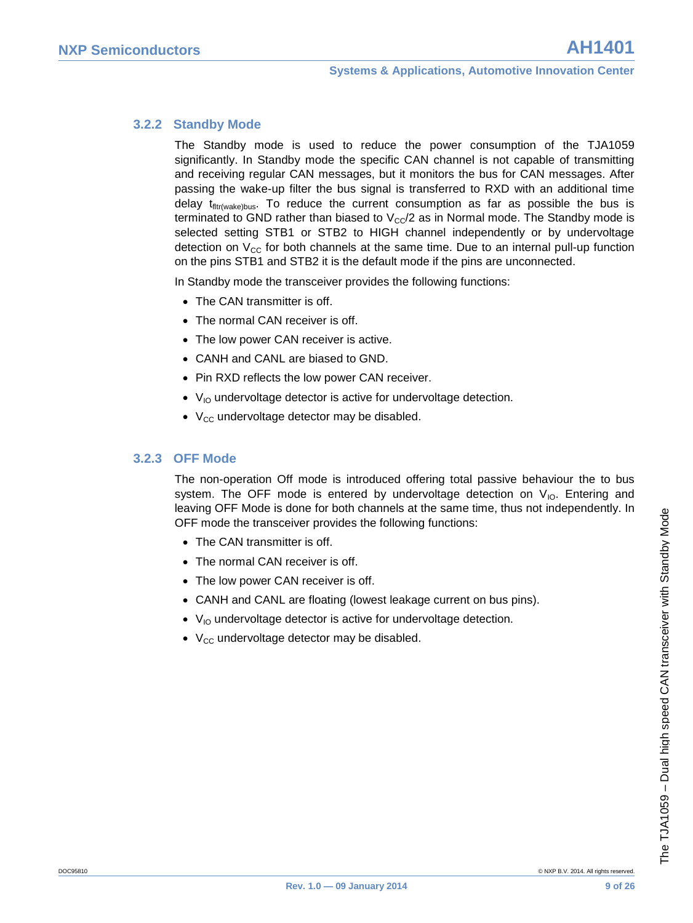#### **3.2.2 Standby Mode**

<span id="page-8-0"></span>The Standby mode is used to reduce the power consumption of the TJA1059 significantly. In Standby mode the specific CAN channel is not capable of transmitting and receiving regular CAN messages, but it monitors the bus for CAN messages. After passing the wake-up filter the bus signal is transferred to RXD with an additional time delay  $t_{\text{fitr}(\text{wake})bus}$ . To reduce the current consumption as far as possible the bus is terminated to GND rather than biased to  $V_{\text{CC}}/2$  as in Normal mode. The Standby mode is selected setting STB1 or STB2 to HIGH channel independently or by undervoltage detection on  $V_{CC}$  for both channels at the same time. Due to an internal pull-up function on the pins STB1 and STB2 it is the default mode if the pins are unconnected.

In Standby mode the transceiver provides the following functions:

- The CAN transmitter is off.
- The normal CAN receiver is off.
- The low power CAN receiver is active.
- CANH and CANL are biased to GND.
- Pin RXD reflects the low power CAN receiver.
- $\bullet$  V<sub>IO</sub> undervoltage detector is active for undervoltage detection.
- $\bullet$  V<sub>CC</sub> undervoltage detector may be disabled.

#### **3.2.3 OFF Mode**

<span id="page-8-1"></span>The non-operation Off mode is introduced offering total passive behaviour the to bus system. The OFF mode is entered by undervoltage detection on  $V_{10}$ . Entering and leaving OFF Mode is done for both channels at the same time, thus not independently. In OFF mode the transceiver provides the following functions:

- The CAN transmitter is off.
- The normal CAN receiver is off.
- The low power CAN receiver is off.
- CANH and CANL are floating (lowest leakage current on bus pins).
- $\bullet$  V<sub>IO</sub> undervoltage detector is active for undervoltage detection.
- $\bullet$  V<sub>CC</sub> undervoltage detector may be disabled.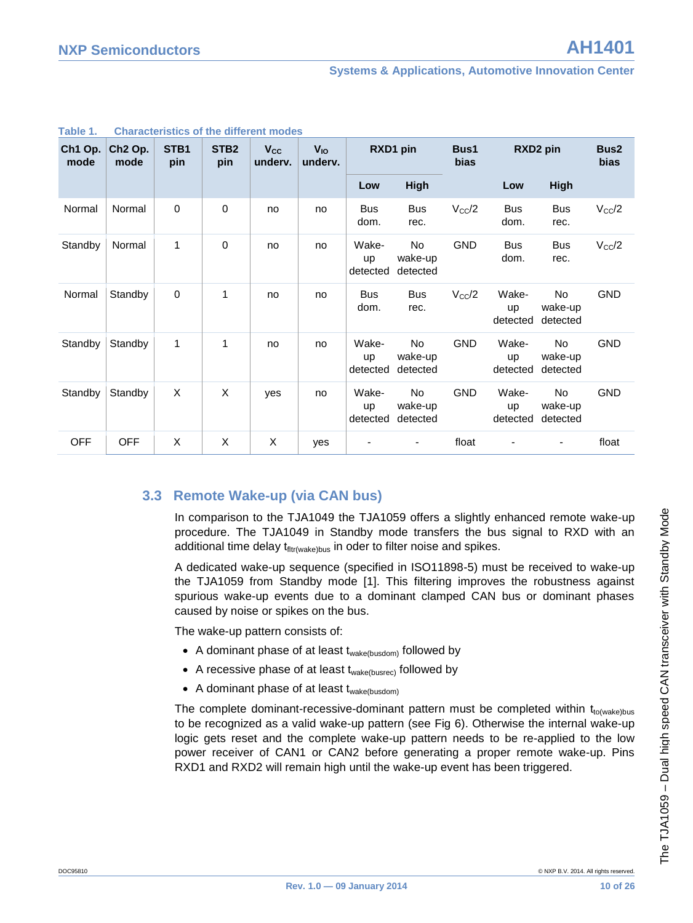| Ch1 Op.<br>mode | Ch <sub>2</sub> Op.<br>mode | STB <sub>1</sub><br>pin | STB <sub>2</sub><br>pin | <b>V<sub>cc</sub></b><br>underv. | <b>V<sub>IO</sub></b><br>underv. | RXD1 pin                |                                  |                |                                | Bus1<br><b>bias</b>              |                | RXD2 pin | Bus <sub>2</sub><br><b>bias</b> |
|-----------------|-----------------------------|-------------------------|-------------------------|----------------------------------|----------------------------------|-------------------------|----------------------------------|----------------|--------------------------------|----------------------------------|----------------|----------|---------------------------------|
|                 |                             |                         |                         |                                  |                                  | Low                     | High                             |                | Low                            | <b>High</b>                      |                |          |                                 |
| Normal          | Normal                      | $\pmb{0}$               | 0                       | no                               | no                               | <b>Bus</b><br>dom.      | <b>Bus</b><br>rec.               | $V_{\rm CC}/2$ | <b>Bus</b><br>dom.             | <b>Bus</b><br>rec.               | $V_{\rm CC}/2$ |          |                                 |
| Standby         | Normal                      | $\mathbf{1}$            | 0                       | no                               | no                               | Wake-<br>up<br>detected | No.<br>wake-up<br>detected       | <b>GND</b>     | <b>Bus</b><br>dom.             | <b>Bus</b><br>rec.               | $V_{\rm CC}/2$ |          |                                 |
| Normal          | Standby                     | $\pmb{0}$               | 1                       | no                               | no                               | <b>Bus</b><br>dom.      | <b>Bus</b><br>rec.               | $V_{\rm CC}/2$ | Wake-<br><b>up</b><br>detected | No.<br>wake-up<br>detected       | <b>GND</b>     |          |                                 |
| Standby         | Standby                     | 1                       | 1                       | no                               | no                               | Wake-<br>up<br>detected | <b>No</b><br>wake-up<br>detected | <b>GND</b>     | Wake-<br><b>up</b><br>detected | <b>No</b><br>wake-up<br>detected | <b>GND</b>     |          |                                 |
| Standby         | Standby                     | X                       | X                       | yes                              | no                               | Wake-<br>up<br>detected | <b>No</b><br>wake-up<br>detected | <b>GND</b>     | Wake-<br><b>up</b><br>detected | No.<br>wake-up<br>detected       | <b>GND</b>     |          |                                 |
| <b>OFF</b>      | <b>OFF</b>                  | X                       | X                       | X                                | yes                              |                         |                                  | float          |                                |                                  | float          |          |                                 |

#### **Table 1. Characteristics of the different modes**

#### <span id="page-9-0"></span>**3.3 Remote Wake-up (via CAN bus)**

In comparison to the TJA1049 the TJA1059 offers a slightly enhanced remote wake-up procedure. The TJA1049 in Standby mode transfers the bus signal to RXD with an additional time delay  $t_{\text{fitr(wake)bus}}$  in oder to filter noise and spikes.

A dedicated wake-up sequence (specified in ISO11898-5) must be received to wake-up the TJA1059 from Standby mode [\[1\].](#page-23-5) This filtering improves the robustness against spurious wake-up events due to a dominant clamped CAN bus or dominant phases caused by noise or spikes on the bus.

The wake-up pattern consists of:

- A dominant phase of at least  $t_{wake(busdom)}$  followed by
- A recessive phase of at least  $t_{\text{wake(busrec)}}$  followed by
- A dominant phase of at least  $t_{\text{wake(busdom)}}$

The complete dominant-recessive-dominant pattern must be completed within  $t_{\text{to/wakeblus}}$ to be recognized as a valid wake-up pattern (see [Fig 6\)](#page-10-0). Otherwise the internal wake-up logic gets reset and the complete wake-up pattern needs to be re-applied to the low power receiver of CAN1 or CAN2 before generating a proper remote wake-up. Pins RXD1 and RXD2 will remain high until the wake-up event has been triggered.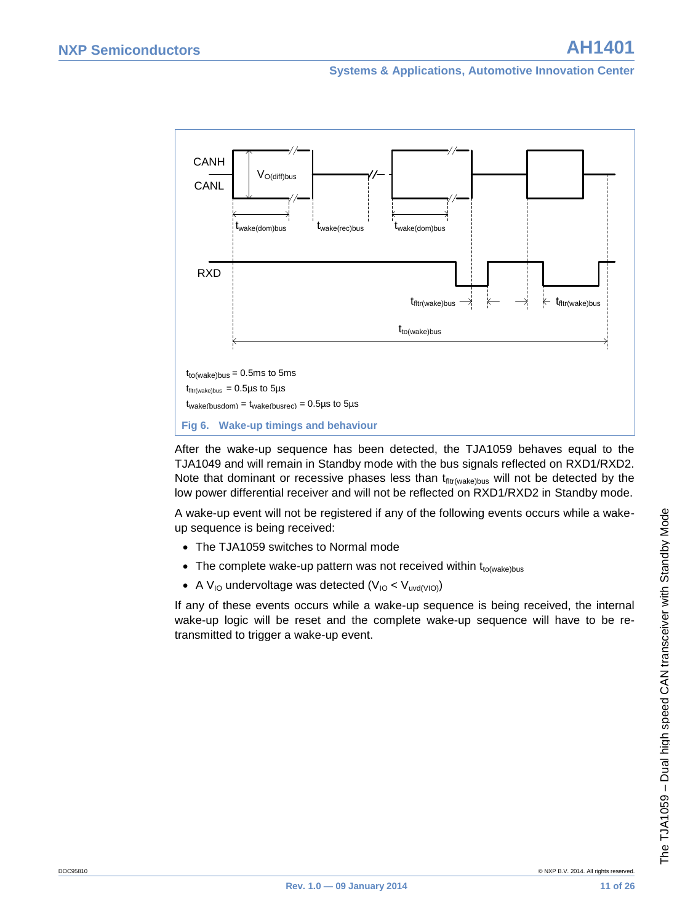

<span id="page-10-0"></span>After the wake-up sequence has been detected, the TJA1059 behaves equal to the TJA1049 and will remain in Standby mode with the bus signals reflected on RXD1/RXD2. Note that dominant or recessive phases less than  $t_{\text{litt/wake)bus}}$  will not be detected by the low power differential receiver and will not be reflected on RXD1/RXD2 in Standby mode.

A wake-up event will not be registered if any of the following events occurs while a wakeup sequence is being received:

- The TJA1059 switches to Normal mode
- The complete wake-up pattern was not received within  $t_{\text{to(wake)bus}}$
- A V<sub>IO</sub> undervoltage was detected  $(V_{IO} < V_{uvd(VIO)})$

If any of these events occurs while a wake-up sequence is being received, the internal wake-up logic will be reset and the complete wake-up sequence will have to be retransmitted to trigger a wake-up event.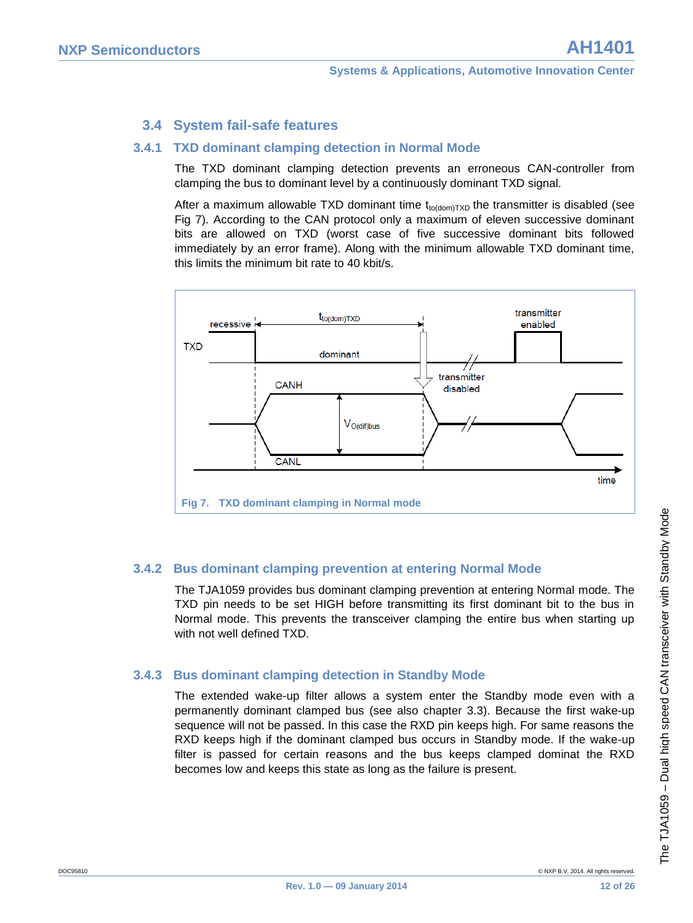### <span id="page-11-0"></span>**3.4 System fail-safe features**

#### **3.4.1 TXD dominant clamping detection in Normal Mode**

<span id="page-11-1"></span>The TXD dominant clamping detection prevents an erroneous CAN-controller from clamping the bus to dominant level by a continuously dominant TXD signal.

After a maximum allowable TXD dominant time  $t_{\text{totdom}TxD}$  the transmitter is disabled (see [Fig 7\)](#page-11-4). According to the CAN protocol only a maximum of eleven successive dominant bits are allowed on TXD (worst case of five successive dominant bits followed immediately by an error frame). Along with the minimum allowable TXD dominant time, this limits the minimum bit rate to 40 kbit/s.



#### <span id="page-11-4"></span>**3.4.2 Bus dominant clamping prevention at entering Normal Mode**

<span id="page-11-2"></span>The TJA1059 provides bus dominant clamping prevention at entering Normal mode. The TXD pin needs to be set HIGH before transmitting its first dominant bit to the bus in Normal mode. This prevents the transceiver clamping the entire bus when starting up with not well defined TXD.

#### **3.4.3 Bus dominant clamping detection in Standby Mode**

<span id="page-11-3"></span>The extended wake-up filter allows a system enter the Standby mode even with a permanently dominant clamped bus (see also chapter [3.3\)](#page-9-0). Because the first wake-up sequence will not be passed. In this case the RXD pin keeps high. For same reasons the RXD keeps high if the dominant clamped bus occurs in Standby mode. If the wake-up filter is passed for certain reasons and the bus keeps clamped dominat the RXD becomes low and keeps this state as long as the failure is present.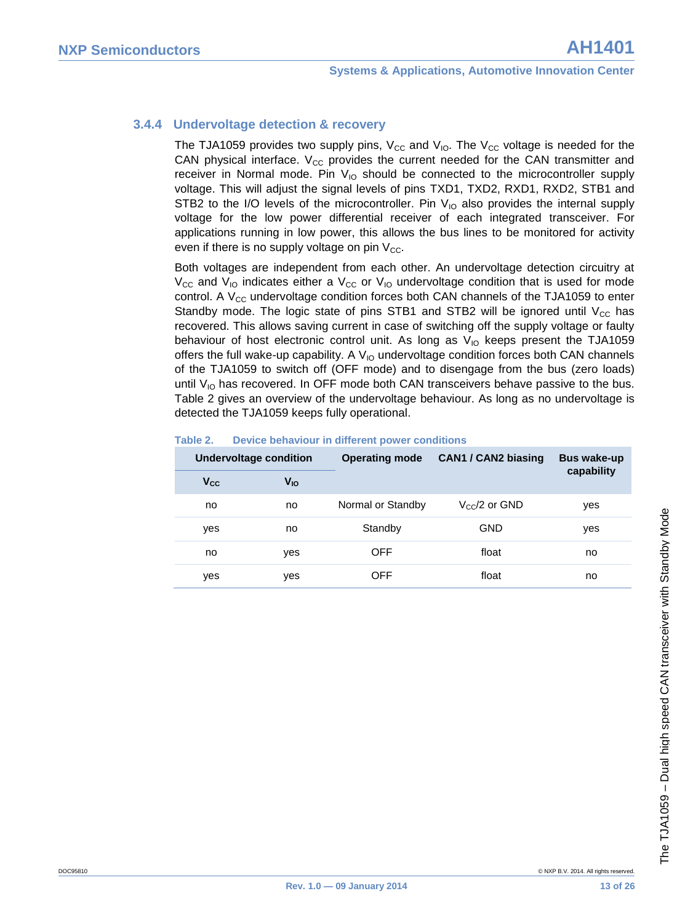#### **3.4.4 Undervoltage detection & recovery**

<span id="page-12-0"></span>The TJA1059 provides two supply pins,  $V_{\text{CC}}$  and  $V_{\text{IO}}$ . The  $V_{\text{CC}}$  voltage is needed for the CAN physical interface.  $V_{CC}$  provides the current needed for the CAN transmitter and receiver in Normal mode. Pin  $V_{10}$  should be connected to the microcontroller supply voltage. This will adjust the signal levels of pins TXD1, TXD2, RXD1, RXD2, STB1 and STB2 to the I/O levels of the microcontroller. Pin  $V_{10}$  also provides the internal supply voltage for the low power differential receiver of each integrated transceiver. For applications running in low power, this allows the bus lines to be monitored for activity even if there is no supply voltage on pin  $V_{CC}$ .

Both voltages are independent from each other. An undervoltage detection circuitry at  $V_{\text{CC}}$  and  $V_{\text{IO}}$  indicates either a  $V_{\text{CC}}$  or  $V_{\text{IO}}$  undervoltage condition that is used for mode control. A  $V_{CC}$  undervoltage condition forces both CAN channels of the TJA1059 to enter Standby mode. The logic state of pins STB1 and STB2 will be ignored until  $V_{CC}$  has recovered. This allows saving current in case of switching off the supply voltage or faulty behaviour of host electronic control unit. As long as  $V_{10}$  keeps present the TJA1059 offers the full wake-up capability. A  $V_{10}$  undervoltage condition forces both CAN channels of the TJA1059 to switch off (OFF mode) and to disengage from the bus (zero loads) until  $V_{10}$  has recovered. In OFF mode both CAN transceivers behave passive to the bus. [Table 2](#page-12-1) gives an overview of the undervoltage behaviour. As long as no undervoltage is detected the TJA1059 keeps fully operational.

| <b>Undervoltage condition</b> |          | <b>Operating mode</b> | <b>CAN1 / CAN2 biasing</b> | <b>Bus wake-up</b> |  |
|-------------------------------|----------|-----------------------|----------------------------|--------------------|--|
| $V_{CC}$                      | $V_{IO}$ |                       |                            | capability         |  |
| no                            | no       | Normal or Standby     | $V_{\rm CC}$ /2 or GND     | yes                |  |
| yes                           | no       | Standby               | <b>GND</b>                 | yes                |  |
| no                            | yes      | <b>OFF</b>            | float                      | no                 |  |
| yes                           | yes      | <b>OFF</b>            | float                      | no                 |  |
|                               |          |                       |                            |                    |  |

#### <span id="page-12-1"></span>**Table 2. Device behaviour in different power conditions**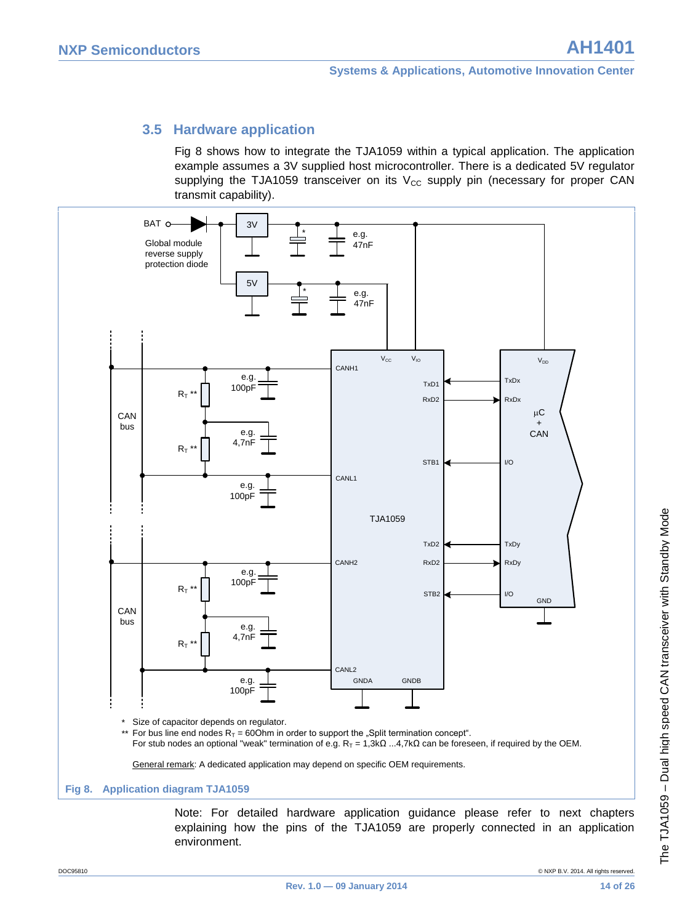### <span id="page-13-0"></span>**3.5 Hardware application**

[Fig 8](#page-13-1) shows how to integrate the TJA1059 within a typical application. The application example assumes a 3V supplied host microcontroller. There is a dedicated 5V regulator supplying the TJA1059 transceiver on its  $V_{\text{CC}}$  supply pin (necessary for proper CAN transmit capability).



<span id="page-13-1"></span>Note: For detailed hardware application guidance please refer to next chapters explaining how the pins of the TJA1059 are properly connected in an application environment.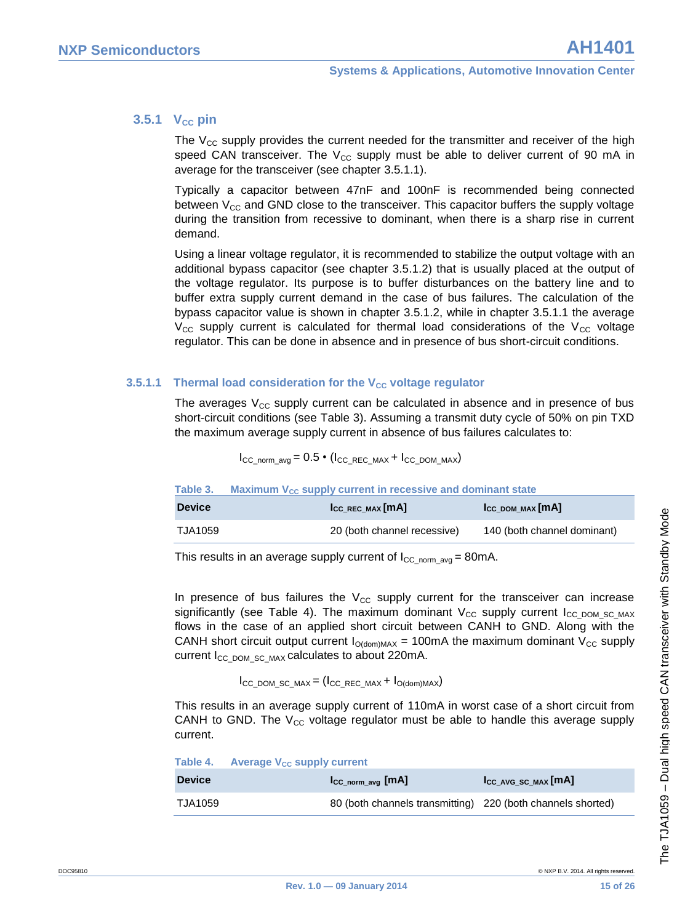#### **3.5.1 V**<sub>cc</sub> **pin**

<span id="page-14-0"></span>The  $V_{CC}$  supply provides the current needed for the transmitter and receiver of the high speed CAN transceiver. The  $V_{CC}$  supply must be able to deliver current of 90 mA in average for the transceiver (see chapter [3.5.1.1\)](#page-14-1).

Typically a capacitor between 47nF and 100nF is recommended being connected between  $V_{CC}$  and GND close to the transceiver. This capacitor buffers the supply voltage during the transition from recessive to dominant, when there is a sharp rise in current demand.

Using a linear voltage regulator, it is recommended to stabilize the output voltage with an additional bypass capacitor (see chapter [3.5.1.2\)](#page-15-0) that is usually placed at the output of the voltage regulator. Its purpose is to buffer disturbances on the battery line and to buffer extra supply current demand in the case of bus failures. The calculation of the bypass capacitor value is shown in chapter [3.5.1.2,](#page-15-0) while in chapter [3.5.1.1](#page-14-1) the average  $V_{\text{CC}}$  supply current is calculated for thermal load considerations of the  $V_{\text{CC}}$  voltage regulator. This can be done in absence and in presence of bus short-circuit conditions.

#### **3.5.1.1 Thermal load consideration for the V<sub>CC</sub> voltage regulator**

<span id="page-14-1"></span>The averages  $V_{CC}$  supply current can be calculated in absence and in presence of bus short-circuit conditions (see [Table 3\)](#page-14-2). Assuming a transmit duty cycle of 50% on pin TXD the maximum average supply current in absence of bus failures calculates to:

 $I_{CC}$  norm avg =  $0.5 \cdot (I_{CC}$  REC\_MAX +  $I_{CC}$  DOM\_MAX)

#### <span id="page-14-2"></span>**Table 3.** Maximum V<sub>CC</sub> supply current in recessive and dominant state

| <b>Device</b> | $I_{CC}$ REC MAX $[MA]$     | $\mathsf{I}_{\text{CC DOM MAX}}[\mathsf{mA}]$ |
|---------------|-----------------------------|-----------------------------------------------|
| TJA1059       | 20 (both channel recessive) | 140 (both channel dominant)                   |

This results in an average supply current of  $I_{CC\_norm}$  avg = 80mA.

In presence of bus failures the  $V_{CC}$  supply current for the transceiver can increase significantly (see [Table 4\)](#page-14-3). The maximum dominant  $V_{CC}$  supply current  $I_{CC}$  pom sc MAX flows in the case of an applied short circuit between CANH to GND. Along with the CANH short circuit output current  $I_{O(dom)MAX} = 100mA$  the maximum dominant  $V_{CC}$  supply current  $I_{CC-DOM-SC-MAX}$  calculates to about 220mA.

#### $I_{CC\_DOM\_SC\_MAX} = (I_{CC\_REC\_MAX} + I_{O(dom)MAX})$

This results in an average supply current of 110mA in worst case of a short circuit from CANH to GND. The  $V_{CC}$  voltage regulator must be able to handle this average supply current.

<span id="page-14-3"></span>

|               | Table 4. Average $V_{CC}$ supply current |                                                             |                                              |
|---------------|------------------------------------------|-------------------------------------------------------------|----------------------------------------------|
| <b>Device</b> |                                          | $\mathsf{I}_{\mathsf{CC} \text{ norm } \mathsf{avg}}$ [MA]  | $\mathsf{I_{CC\_AVG\_SC\_MAX}}[m\mathsf{A}]$ |
| TJA1059       |                                          | 80 (both channels transmitting) 220 (both channels shorted) |                                              |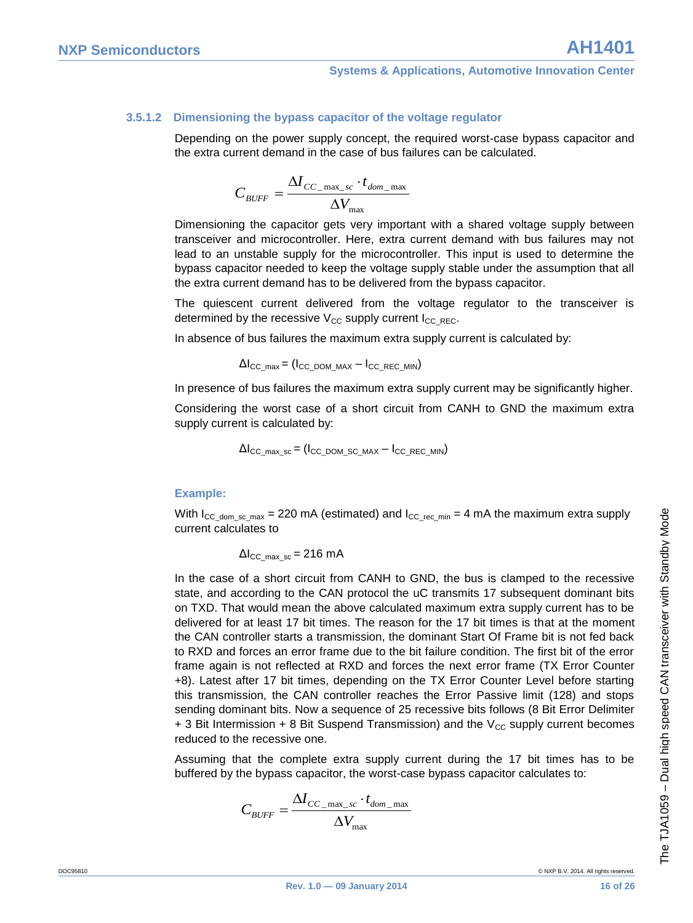#### **3.5.1.2 Dimensioning the bypass capacitor of the voltage regulator**

<span id="page-15-0"></span>Depending on the power supply concept, the required worst-case bypass capacitor and the extra current demand in the case of bus failures can be calculated.

$$
C_{\mathit{BUFF}} = \frac{\Delta I_{\mathit{CC\_max\_sc}} \cdot t_{\mathit{dom\_max}}}{\Delta V_{\max}}
$$

Dimensioning the capacitor gets very important with a shared voltage supply between transceiver and microcontroller. Here, extra current demand with bus failures may not lead to an unstable supply for the microcontroller. This input is used to determine the bypass capacitor needed to keep the voltage supply stable under the assumption that all the extra current demand has to be delivered from the bypass capacitor.

The quiescent current delivered from the voltage regulator to the transceiver is determined by the recessive  $V_{CC}$  supply current  $I_{CC|REC}$ .

In absence of bus failures the maximum extra supply current is calculated by:

$$
\Delta I_{\rm CC\_max} = (I_{\rm CC\_DOM\_MAX} - I_{\rm CC\_REC\_MIN})
$$

In presence of bus failures the maximum extra supply current may be significantly higher.

Considering the worst case of a short circuit from CANH to GND the maximum extra supply current is calculated by:

$$
\Delta I_{\rm CC\_max\_sc} = (I_{\rm CC\_DOM\_SC\_MAX} - I_{\rm CC\_REC\_MIN})
$$

#### **Example:**

With  $I_{CC-domsc max}$  = 220 mA (estimated) and  $I_{CC-recmin}$  = 4 mA the maximum extra supply current calculates to

 $\Delta l_{\text{CC max}}$  sc = 216 mA

In the case of a short circuit from CANH to GND, the bus is clamped to the recessive state, and according to the CAN protocol the uC transmits 17 subsequent dominant bits on TXD. That would mean the above calculated maximum extra supply current has to be delivered for at least 17 bit times. The reason for the 17 bit times is that at the moment the CAN controller starts a transmission, the dominant Start Of Frame bit is not fed back to RXD and forces an error frame due to the bit failure condition. The first bit of the error frame again is not reflected at RXD and forces the next error frame (TX Error Counter +8). Latest after 17 bit times, depending on the TX Error Counter Level before starting this transmission, the CAN controller reaches the Error Passive limit (128) and stops sending dominant bits. Now a sequence of 25 recessive bits follows (8 Bit Error Delimiter  $+$  3 Bit Intermission + 8 Bit Suspend Transmission) and the  $V_{CC}$  supply current becomes reduced to the recessive one.

Assuming that the complete extra supply current during the 17 bit times has to be buffered by the bypass capacitor, the worst-case bypass capacitor calculates to:

$$
C_{\text{BUFF}} = \frac{\Delta I_{\text{CC\_max\_sc}} \cdot t_{\text{dom\_max}}}{\Delta V_{\text{max}}}
$$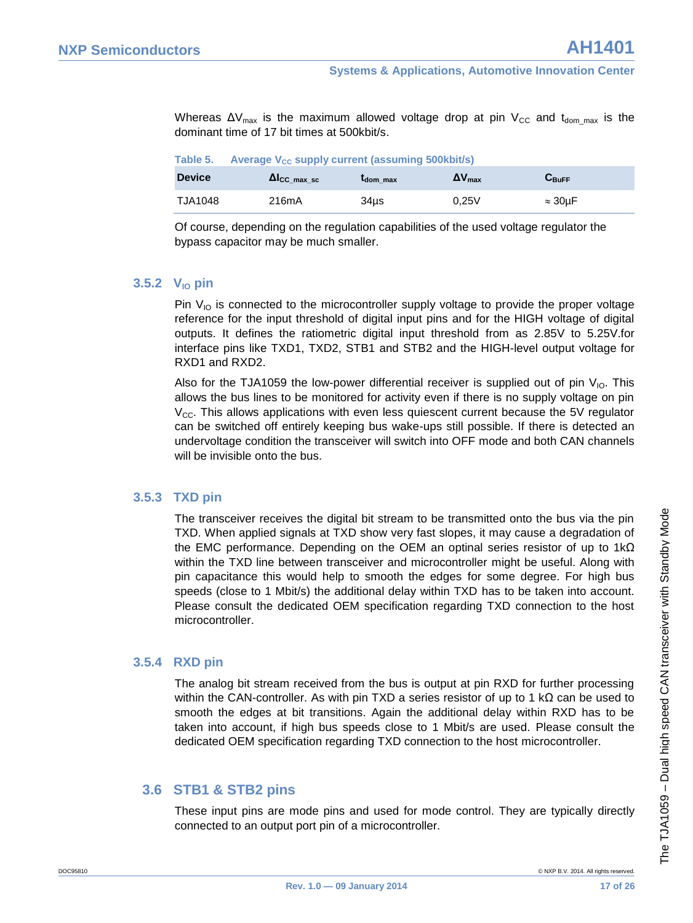Whereas  $\Delta V_{\text{max}}$  is the maximum allowed voltage drop at pin  $V_{\text{CC}}$  and  $t_{\text{dom max}}$  is the dominant time of 17 bit times at 500kbit/s.

| Table 5. |  |  | Average V <sub>cc</sub> supply current (assuming 500kbit/s) |  |
|----------|--|--|-------------------------------------------------------------|--|

| <b>Device</b> | $\Delta I_{CC}$ max sc | L <sub>dom</sub> max | $\mathbf{\Delta}$ V max | $\mathbf{C}_\mathbf{Buffer}$ |
|---------------|------------------------|----------------------|-------------------------|------------------------------|
| TJA1048       | 216mA                  | 34us                 | 0.25V                   | $\approx 30 \mu F$           |

Of course, depending on the regulation capabilities of the used voltage regulator the bypass capacitor may be much smaller.

#### **3.5.2 VIO pin**

<span id="page-16-0"></span>Pin  $V_{10}$  is connected to the microcontroller supply voltage to provide the proper voltage reference for the input threshold of digital input pins and for the HIGH voltage of digital outputs. It defines the ratiometric digital input threshold from as 2.85V to 5.25V.for interface pins like TXD1, TXD2, STB1 and STB2 and the HIGH-level output voltage for RXD1 and RXD2.

Also for the TJA1059 the low-power differential receiver is supplied out of pin  $V_{10}$ . This allows the bus lines to be monitored for activity even if there is no supply voltage on pin  $V_{\text{CC}}$ . This allows applications with even less quiescent current because the 5V regulator can be switched off entirely keeping bus wake-ups still possible. If there is detected an undervoltage condition the transceiver will switch into OFF mode and both CAN channels will be invisible onto the bus.

#### **3.5.3 TXD pin**

<span id="page-16-1"></span>The transceiver receives the digital bit stream to be transmitted onto the bus via the pin TXD. When applied signals at TXD show very fast slopes, it may cause a degradation of the EMC performance. Depending on the OEM an optinal series resistor of up to 1kΩ within the TXD line between transceiver and microcontroller might be useful. Along with pin capacitance this would help to smooth the edges for some degree. For high bus speeds (close to 1 Mbit/s) the additional delay within TXD has to be taken into account. Please consult the dedicated OEM specification regarding TXD connection to the host microcontroller.

#### **3.5.4 RXD pin**

<span id="page-16-2"></span>The analog bit stream received from the bus is output at pin RXD for further processing within the CAN-controller. As with pin TXD a series resistor of up to 1 k $\Omega$  can be used to smooth the edges at bit transitions. Again the additional delay within RXD has to be taken into account, if high bus speeds close to 1 Mbit/s are used. Please consult the dedicated OEM specification regarding TXD connection to the host microcontroller.

#### <span id="page-16-3"></span>**3.6 STB1 & STB2 pins**

These input pins are mode pins and used for mode control. They are typically directly connected to an output port pin of a microcontroller.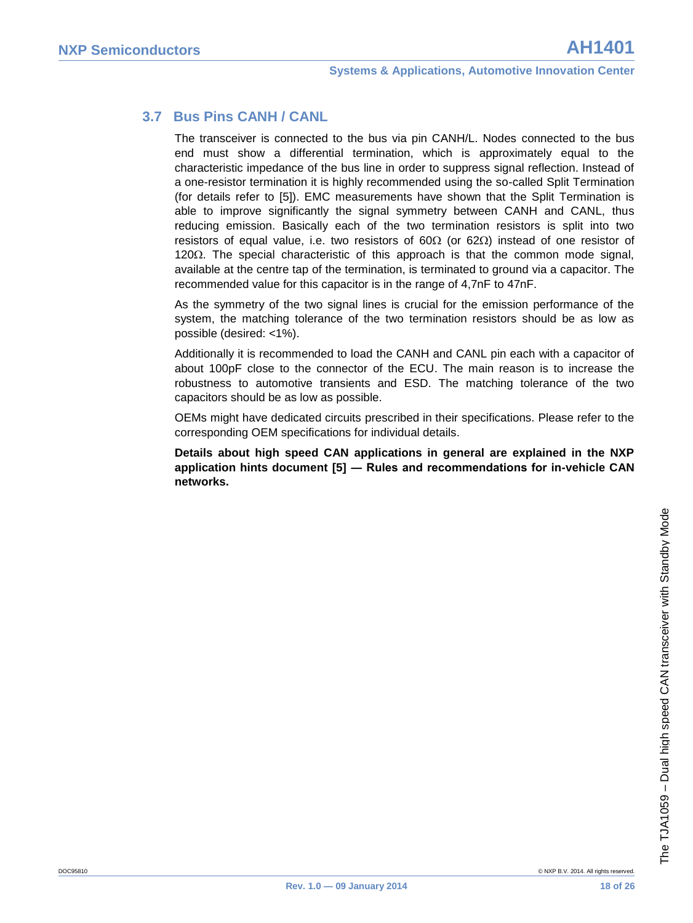### **3.7 Bus Pins CANH / CANL**

<span id="page-17-0"></span>The transceiver is connected to the bus via pin CANH/L. Nodes connected to the bus end must show a differential termination, which is approximately equal to the characteristic impedance of the bus line in order to suppress signal reflection. Instead of a one-resistor termination it is highly recommended using the so-called Split Termination (for details refer to [\[5\]\)](#page-23-4). EMC measurements have shown that the Split Termination is able to improve significantly the signal symmetry between CANH and CANL, thus reducing emission. Basically each of the two termination resistors is split into two resistors of equal value, i.e. two resistors of  $60\Omega$  (or  $62\Omega$ ) instead of one resistor of 120 $\Omega$ . The special characteristic of this approach is that the common mode signal, available at the centre tap of the termination, is terminated to ground via a capacitor. The recommended value for this capacitor is in the range of 4,7nF to 47nF.

As the symmetry of the two signal lines is crucial for the emission performance of the system, the matching tolerance of the two termination resistors should be as low as possible (desired: <1%).

Additionally it is recommended to load the CANH and CANL pin each with a capacitor of about 100pF close to the connector of the ECU. The main reason is to increase the robustness to automotive transients and ESD. The matching tolerance of the two capacitors should be as low as possible.

OEMs might have dedicated circuits prescribed in their specifications. Please refer to the corresponding OEM specifications for individual details.

**Details about high speed CAN applications in general are explained in the NXP application hints document [\[5\]](#page-23-4) ― Rules and recommendations for in-vehicle CAN networks.**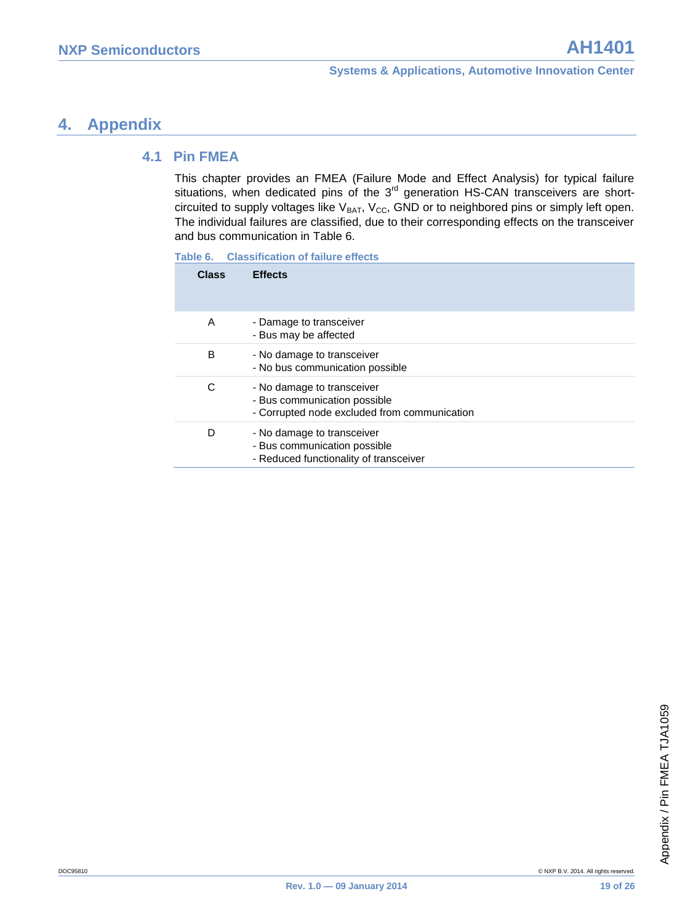#### <span id="page-18-1"></span><span id="page-18-0"></span>**4.1 Pin FMEA**

This chapter provides an FMEA (Failure Mode and Effect Analysis) for typical failure situations, when dedicated pins of the  $3<sup>rd</sup>$  generation HS-CAN transceivers are shortcircuited to supply voltages like  $V_{BAT}$ ,  $V_{CC}$ , GND or to neighbored pins or simply left open. The individual failures are classified, due to their corresponding effects on the transceiver and bus communication in [Table 6.](#page-18-2) 

<span id="page-18-2"></span>

|  | Table 6. | <b>Classification of failure effects</b> |  |  |
|--|----------|------------------------------------------|--|--|
|--|----------|------------------------------------------|--|--|

| Class | <b>Effects</b>                                                                                             |
|-------|------------------------------------------------------------------------------------------------------------|
| A     | - Damage to transceiver<br>- Bus may be affected                                                           |
| B     | - No damage to transceiver<br>- No bus communication possible                                              |
| C     | - No damage to transceiver<br>- Bus communication possible<br>- Corrupted node excluded from communication |
| D     | - No damage to transceiver<br>- Bus communication possible<br>- Reduced functionality of transceiver       |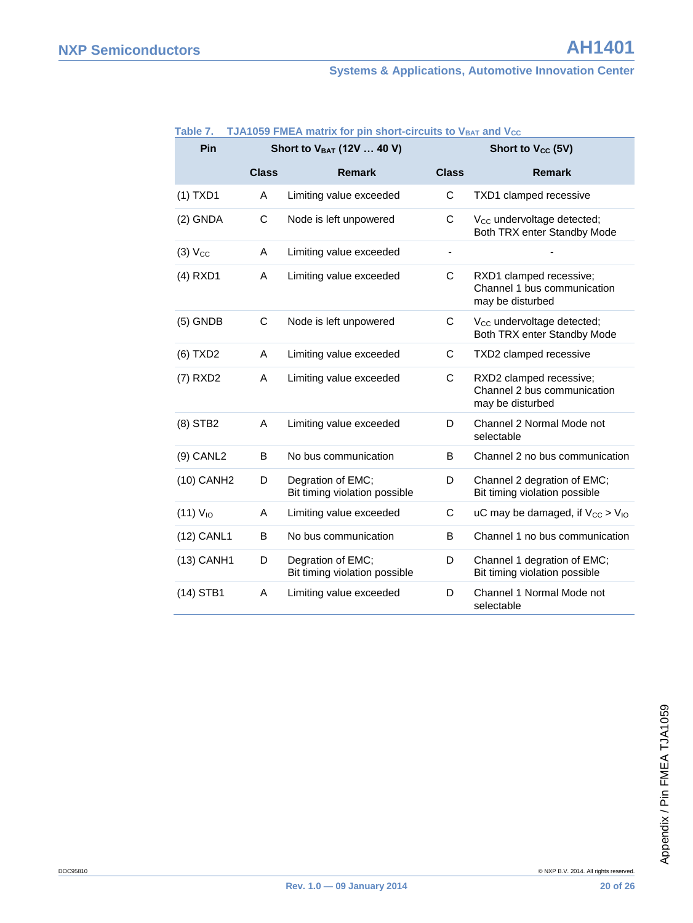#### **Systems & Applications, Automotive Innovation Center**

| Pin                    | Short to V <sub>BAT</sub> (12V  40 V) |                                                    |                          | Short to V <sub>cc</sub> (5V)                                              |  |  |
|------------------------|---------------------------------------|----------------------------------------------------|--------------------------|----------------------------------------------------------------------------|--|--|
|                        | <b>Class</b>                          | <b>Remark</b>                                      | <b>Class</b>             | <b>Remark</b>                                                              |  |  |
| $(1)$ TXD1             | Α                                     | Limiting value exceeded                            | $\mathsf C$              | TXD1 clamped recessive                                                     |  |  |
| $(2)$ GNDA             | C                                     | Node is left unpowered                             | C                        | V <sub>cc</sub> undervoltage detected;<br>Both TRX enter Standby Mode      |  |  |
| $(3)$ $V_{CC}$         | Α                                     | Limiting value exceeded                            | $\overline{\phantom{a}}$ |                                                                            |  |  |
| $(4)$ RXD1             | A                                     | Limiting value exceeded                            | C                        | RXD1 clamped recessive;<br>Channel 1 bus communication<br>may be disturbed |  |  |
| $(5)$ GNDB             | C                                     | Node is left unpowered                             | C                        | V <sub>cc</sub> undervoltage detected;<br>Both TRX enter Standby Mode      |  |  |
| (6) TXD2               | A                                     | Limiting value exceeded                            | C                        | TXD2 clamped recessive                                                     |  |  |
| $(7)$ RXD2             | A                                     | Limiting value exceeded                            | C                        | RXD2 clamped recessive;<br>Channel 2 bus communication<br>may be disturbed |  |  |
| $(8)$ STB2             | A                                     | Limiting value exceeded                            | D                        | Channel 2 Normal Mode not<br>selectable                                    |  |  |
| $(9)$ CANL2            | B                                     | No bus communication                               | B                        | Channel 2 no bus communication                                             |  |  |
| (10) CANH <sub>2</sub> | D                                     | Degration of EMC;<br>Bit timing violation possible | D                        | Channel 2 degration of EMC;<br>Bit timing violation possible               |  |  |
| $(11)$ $V_{10}$        | A                                     | Limiting value exceeded                            | C                        | uC may be damaged, if $V_{\text{CC}} > V_{\text{IO}}$                      |  |  |
| (12) CANL1             | B                                     | No bus communication                               | B                        | Channel 1 no bus communication                                             |  |  |
| $(13)$ CANH1           | D                                     | Degration of EMC;<br>Bit timing violation possible | D                        | Channel 1 degration of EMC;<br>Bit timing violation possible               |  |  |
| $(14)$ STB1            | A                                     | Limiting value exceeded                            | D                        | Channel 1 Normal Mode not<br>selectable                                    |  |  |

#### **Table 7. • TJA1059 FMEA matrix for pin short-circuits to V<sub>BAT</sub> and V<sub>CC</sub>**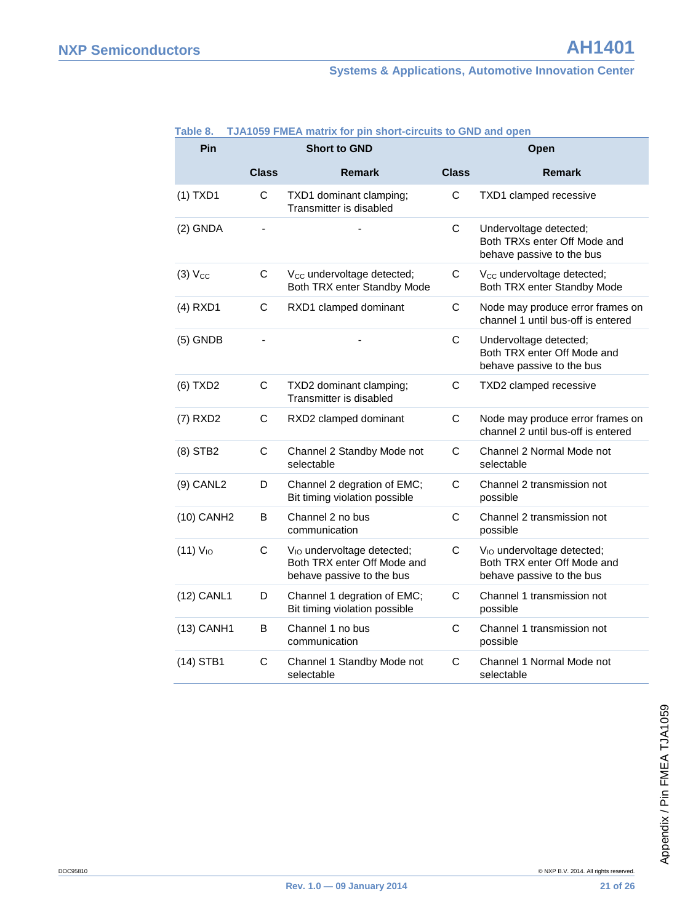| Pin                    | <b>Short to GND</b> |                                                                                                    | Open         |                                                                                                    |  |
|------------------------|---------------------|----------------------------------------------------------------------------------------------------|--------------|----------------------------------------------------------------------------------------------------|--|
|                        | <b>Class</b>        | <b>Remark</b>                                                                                      | <b>Class</b> | <b>Remark</b>                                                                                      |  |
| $(1)$ TXD1             | C                   | TXD1 dominant clamping;<br>Transmitter is disabled                                                 | C            | TXD1 clamped recessive                                                                             |  |
| $(2)$ GNDA             |                     |                                                                                                    | C            | Undervoltage detected;<br>Both TRXs enter Off Mode and<br>behave passive to the bus                |  |
| $(3)$ $V_{CC}$         | C                   | V <sub>CC</sub> undervoltage detected;<br>Both TRX enter Standby Mode                              | C            | V <sub>cc</sub> undervoltage detected;<br>Both TRX enter Standby Mode                              |  |
| $(4)$ RXD1             | C                   | RXD1 clamped dominant                                                                              | C            | Node may produce error frames on<br>channel 1 until bus-off is entered                             |  |
| $(5)$ GNDB             |                     |                                                                                                    | C            | Undervoltage detected;<br>Both TRX enter Off Mode and<br>behave passive to the bus                 |  |
| (6) TXD2               | C                   | TXD2 dominant clamping;<br>Transmitter is disabled                                                 | C            | TXD2 clamped recessive                                                                             |  |
| $(7)$ RXD2             | C                   | RXD2 clamped dominant                                                                              | $\mathsf C$  | Node may produce error frames on<br>channel 2 until bus-off is entered                             |  |
| $(8)$ STB2             | C                   | Channel 2 Standby Mode not<br>selectable                                                           | C            | Channel 2 Normal Mode not<br>selectable                                                            |  |
| $(9)$ CANL2            | D                   | Channel 2 degration of EMC;<br>Bit timing violation possible                                       | C            | Channel 2 transmission not<br>possible                                                             |  |
| (10) CANH <sub>2</sub> | В                   | Channel 2 no bus<br>communication                                                                  | C            | Channel 2 transmission not<br>possible                                                             |  |
| (11) V <sub>10</sub>   | C                   | V <sub>IO</sub> undervoltage detected;<br>Both TRX enter Off Mode and<br>behave passive to the bus | C            | V <sub>IO</sub> undervoltage detected;<br>Both TRX enter Off Mode and<br>behave passive to the bus |  |
| (12) CANL1             | D                   | Channel 1 degration of EMC;<br>Bit timing violation possible                                       | C            | Channel 1 transmission not<br>possible                                                             |  |
| (13) CANH1             | B                   | Channel 1 no bus<br>communication                                                                  | C            | Channel 1 transmission not<br>possible                                                             |  |
| $(14)$ STB1            | C                   | Channel 1 Standby Mode not<br>selectable                                                           | C            | Channel 1 Normal Mode not<br>selectable                                                            |  |

#### **Table 8. TJA1059 FMEA matrix for pin short-circuits to GND and open**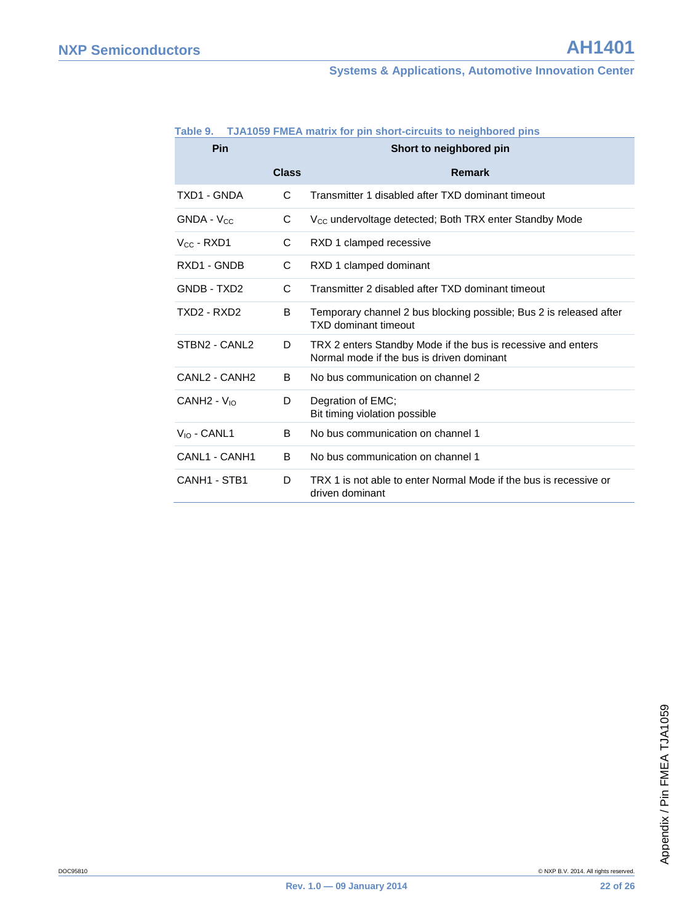#### **Systems & Applications, Automotive Innovation Center**

| Pin                                   | Short to neighbored pin |                                                                                                           |  |
|---------------------------------------|-------------------------|-----------------------------------------------------------------------------------------------------------|--|
|                                       | <b>Class</b>            | <b>Remark</b>                                                                                             |  |
| TXD1 - GNDA                           | C                       | Transmitter 1 disabled after TXD dominant timeout                                                         |  |
| <b>GNDA - Vcc</b>                     | С                       | V <sub>cc</sub> undervoltage detected; Both TRX enter Standby Mode                                        |  |
| $V_{CC}$ - RXD1                       | С                       | RXD 1 clamped recessive                                                                                   |  |
| RXD1 - GNDB                           | C                       | RXD 1 clamped dominant                                                                                    |  |
| GNDB - TXD2                           | C                       | Transmitter 2 disabled after TXD dominant timeout                                                         |  |
| TXD2 - RXD2                           | B                       | Temporary channel 2 bus blocking possible; Bus 2 is released after<br><b>TXD dominant timeout</b>         |  |
| STBN2 - CANL2                         | D                       | TRX 2 enters Standby Mode if the bus is recessive and enters<br>Normal mode if the bus is driven dominant |  |
| CANL <sub>2</sub> - CANH <sub>2</sub> | в                       | No bus communication on channel 2                                                                         |  |
| $CANH2 - V10$                         | D                       | Degration of EMC;<br>Bit timing violation possible                                                        |  |
| $V_{10}$ - CANL1                      | B                       | No bus communication on channel 1                                                                         |  |
| CANL1 - CANH1                         | B                       | No bus communication on channel 1                                                                         |  |
| CANH <sub>1</sub> - STB <sub>1</sub>  | D                       | TRX 1 is not able to enter Normal Mode if the bus is recessive or<br>driven dominant                      |  |

#### **Table 9. TJA1059 FMEA matrix for pin short-circuits to neighbored pins**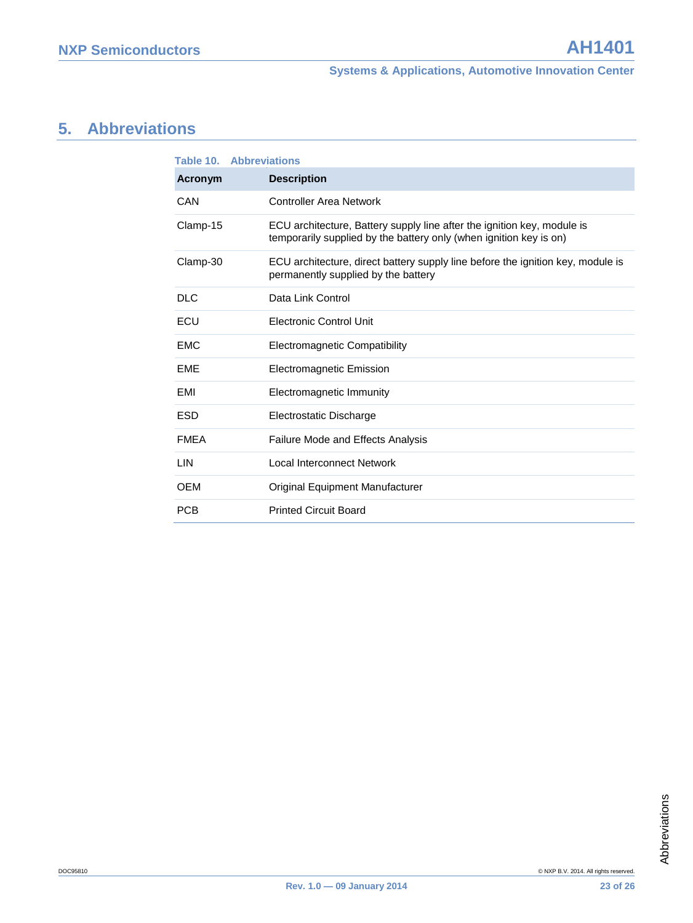## <span id="page-22-0"></span>**5. Abbreviations**

|             | <b>Table 10. Abbreviations</b>                                                                                                                |  |  |  |  |
|-------------|-----------------------------------------------------------------------------------------------------------------------------------------------|--|--|--|--|
| Acronym     | <b>Description</b>                                                                                                                            |  |  |  |  |
| CAN         | Controller Area Network                                                                                                                       |  |  |  |  |
| Clamp-15    | ECU architecture, Battery supply line after the ignition key, module is<br>temporarily supplied by the battery only (when ignition key is on) |  |  |  |  |
| Clamp-30    | ECU architecture, direct battery supply line before the ignition key, module is<br>permanently supplied by the battery                        |  |  |  |  |
| <b>DLC</b>  | Data Link Control                                                                                                                             |  |  |  |  |
| ECU         | <b>Electronic Control Unit</b>                                                                                                                |  |  |  |  |
| EMC         | Electromagnetic Compatibility                                                                                                                 |  |  |  |  |
| <b>EME</b>  | <b>Electromagnetic Emission</b>                                                                                                               |  |  |  |  |
| EMI         | Electromagnetic Immunity                                                                                                                      |  |  |  |  |
| <b>ESD</b>  | Electrostatic Discharge                                                                                                                       |  |  |  |  |
| <b>FMFA</b> | <b>Failure Mode and Effects Analysis</b>                                                                                                      |  |  |  |  |
| LIN         | Local Interconnect Network                                                                                                                    |  |  |  |  |
| <b>OEM</b>  | Original Equipment Manufacturer                                                                                                               |  |  |  |  |
| <b>PCB</b>  | <b>Printed Circuit Board</b>                                                                                                                  |  |  |  |  |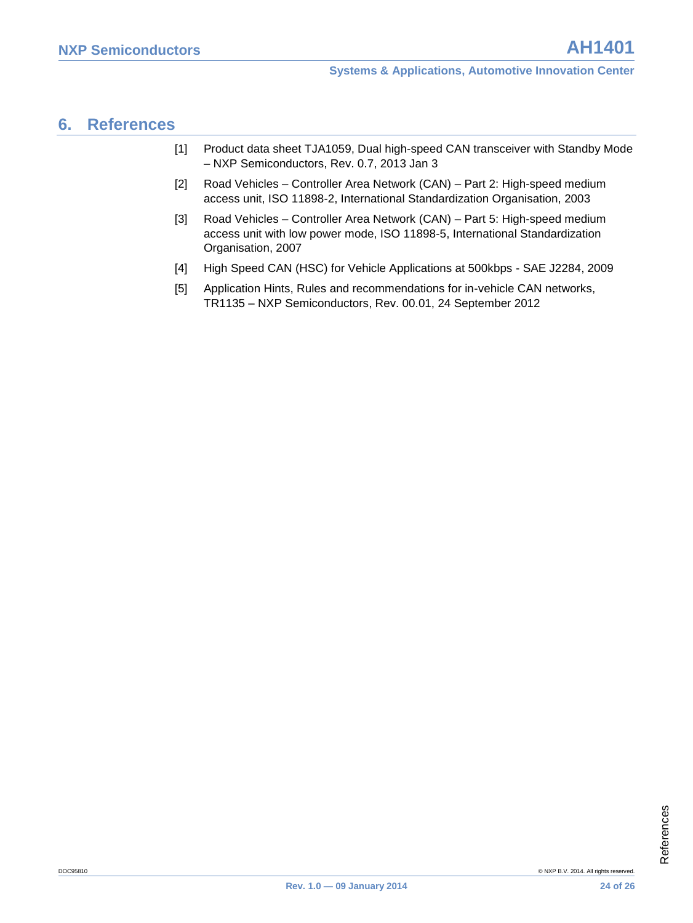### <span id="page-23-0"></span>**6. References**

- <span id="page-23-5"></span>[1] Product data sheet TJA1059, Dual high-speed CAN transceiver with Standby Mode – NXP Semiconductors, Rev. 0.7, 2013 Jan 3
- <span id="page-23-1"></span>[2] Road Vehicles – Controller Area Network (CAN) – Part 2: High-speed medium access unit, ISO 11898-2, International Standardization Organisation, 2003
- <span id="page-23-2"></span>[3] Road Vehicles – Controller Area Network (CAN) – Part 5: High-speed medium access unit with low power mode, ISO 11898-5, International Standardization Organisation, 2007
- <span id="page-23-3"></span>[4] High Speed CAN (HSC) for Vehicle Applications at 500kbps - SAE J2284, 2009
- <span id="page-23-4"></span>[5] Application Hints, Rules and recommendations for in-vehicle CAN networks, TR1135 – NXP Semiconductors, Rev. 00.01, 24 September 2012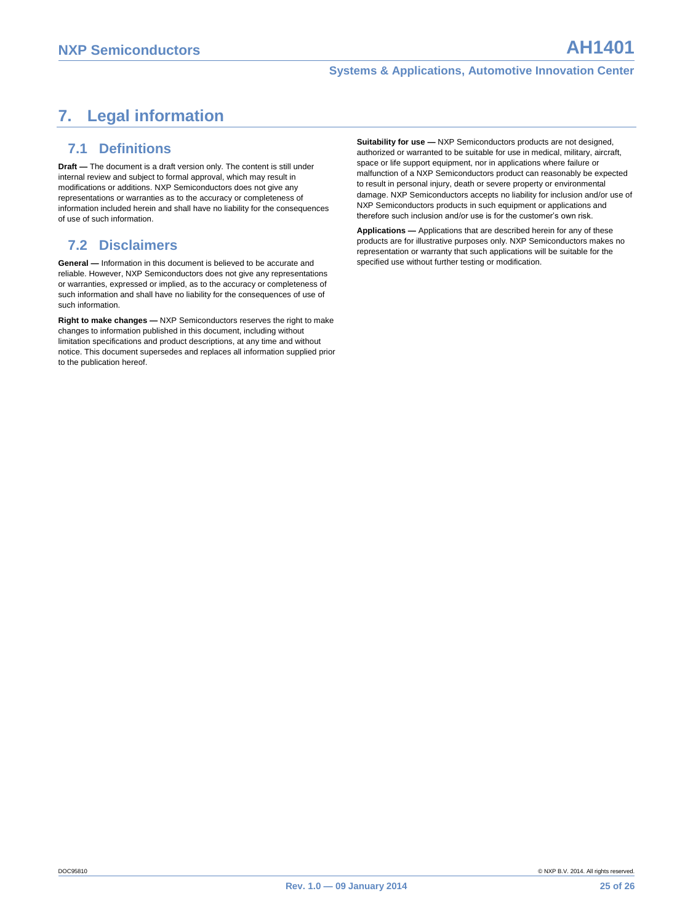### <span id="page-24-0"></span>**7. Legal information**

#### <span id="page-24-1"></span>**7.1 Definitions**

**Draft —** The document is a draft version only. The content is still under internal review and subject to formal approval, which may result in modifications or additions. NXP Semiconductors does not give any representations or warranties as to the accuracy or completeness of information included herein and shall have no liability for the consequences of use of such information.

#### <span id="page-24-2"></span>**7.2 Disclaimers**

**General —** Information in this document is believed to be accurate and reliable. However, NXP Semiconductors does not give any representations or warranties, expressed or implied, as to the accuracy or completeness of such information and shall have no liability for the consequences of use of such information.

**Right to make changes —** NXP Semiconductors reserves the right to make changes to information published in this document, including without limitation specifications and product descriptions, at any time and without notice. This document supersedes and replaces all information supplied prior to the publication hereof.

**Suitability for use — NXP** Semiconductors products are not designed authorized or warranted to be suitable for use in medical, military, aircraft, space or life support equipment, nor in applications where failure or malfunction of a NXP Semiconductors product can reasonably be expected to result in personal injury, death or severe property or environmental damage. NXP Semiconductors accepts no liability for inclusion and/or use of NXP Semiconductors products in such equipment or applications and therefore such inclusion and/or use is for the customer's own risk.

**Applications —** Applications that are described herein for any of these products are for illustrative purposes only. NXP Semiconductors makes no representation or warranty that such applications will be suitable for the specified use without further testing or modification.